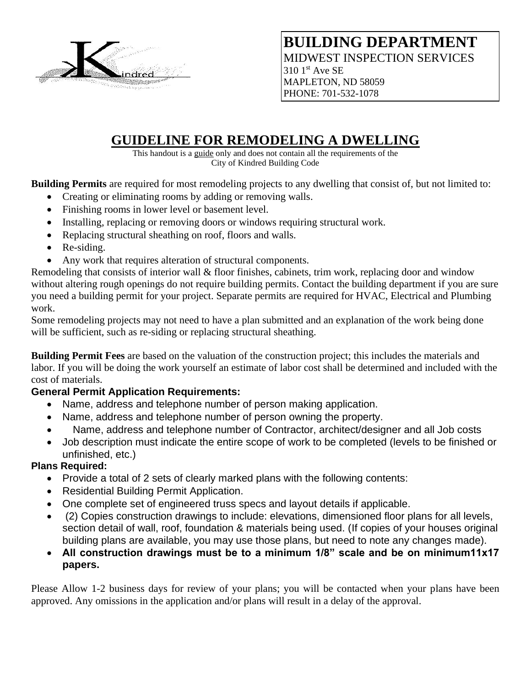

## **BUILDING DEPARTMENT** MIDWEST INSPECTION SERVICES  $3101$ <sup>st</sup> Ave SE

MAPLETON, ND 58059 PHONE: 701-532-1078

# **GUIDELINE FOR REMODELING A DWELLING**

This handout is a guide only and does not contain all the requirements of the City of Kindred Building Code

**Building Permits** are required for most remodeling projects to any dwelling that consist of, but not limited to:

- Creating or eliminating rooms by adding or removing walls.
- Finishing rooms in lower level or basement level.
- Installing, replacing or removing doors or windows requiring structural work.
- Replacing structural sheathing on roof, floors and walls.
- Re-siding.
- Any work that requires alteration of structural components.

Remodeling that consists of interior wall & floor finishes, cabinets, trim work, replacing door and window without altering rough openings do not require building permits. Contact the building department if you are sure you need a building permit for your project. Separate permits are required for HVAC, Electrical and Plumbing work.

Some remodeling projects may not need to have a plan submitted and an explanation of the work being done will be sufficient, such as re-siding or replacing structural sheathing.

**Building Permit Fees** are based on the valuation of the construction project; this includes the materials and labor. If you will be doing the work yourself an estimate of labor cost shall be determined and included with the cost of materials.

## **General Permit Application Requirements:**

- Name, address and telephone number of person making application.
- Name, address and telephone number of person owning the property.
- Name, address and telephone number of Contractor, architect/designer and all Job costs
- Job description must indicate the entire scope of work to be completed (levels to be finished or unfinished, etc.)

## **Plans Required:**

- Provide a total of 2 sets of clearly marked plans with the following contents:
- Residential Building Permit Application.
- One complete set of engineered truss specs and layout details if applicable.
- (2) Copies construction drawings to include: elevations, dimensioned floor plans for all levels, section detail of wall, roof, foundation & materials being used. (If copies of your houses original building plans are available, you may use those plans, but need to note any changes made).
- **All construction drawings must be to a minimum 1/8" scale and be on minimum11x17 papers.**

Please Allow 1-2 business days for review of your plans; you will be contacted when your plans have been approved. Any omissions in the application and/or plans will result in a delay of the approval.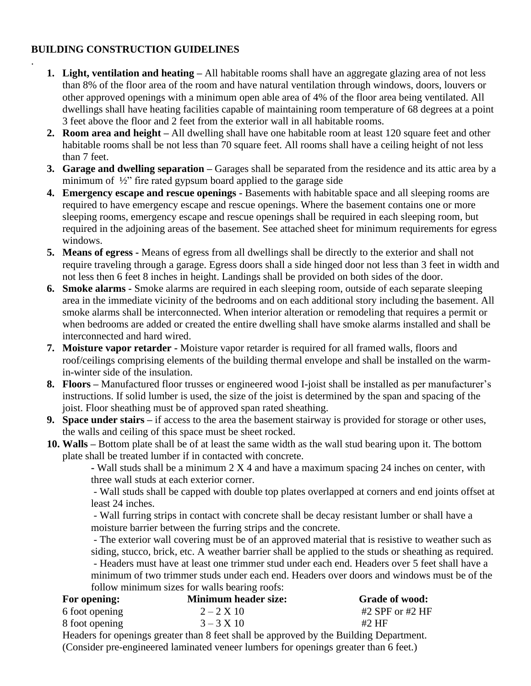#### **BUILDING CONSTRUCTION GUIDELINES**

.

- **1. Light, ventilation and heating –** All habitable rooms shall have an aggregate glazing area of not less than 8% of the floor area of the room and have natural ventilation through windows, doors, louvers or other approved openings with a minimum open able area of 4% of the floor area being ventilated. All dwellings shall have heating facilities capable of maintaining room temperature of 68 degrees at a point 3 feet above the floor and 2 feet from the exterior wall in all habitable rooms.
- **2. Room area and height –** All dwelling shall have one habitable room at least 120 square feet and other habitable rooms shall be not less than 70 square feet. All rooms shall have a ceiling height of not less than 7 feet.
- **3. Garage and dwelling separation –** Garages shall be separated from the residence and its attic area by a minimum of ½" fire rated gypsum board applied to the garage side
- **4. Emergency escape and rescue openings -** Basements with habitable space and all sleeping rooms are required to have emergency escape and rescue openings. Where the basement contains one or more sleeping rooms, emergency escape and rescue openings shall be required in each sleeping room, but required in the adjoining areas of the basement. See attached sheet for minimum requirements for egress windows.
- **5. Means of egress -** Means of egress from all dwellings shall be directly to the exterior and shall not require traveling through a garage. Egress doors shall a side hinged door not less than 3 feet in width and not less then 6 feet 8 inches in height. Landings shall be provided on both sides of the door.
- **6. Smoke alarms -** Smoke alarms are required in each sleeping room, outside of each separate sleeping area in the immediate vicinity of the bedrooms and on each additional story including the basement. All smoke alarms shall be interconnected. When interior alteration or remodeling that requires a permit or when bedrooms are added or created the entire dwelling shall have smoke alarms installed and shall be interconnected and hard wired.
- **7. Moisture vapor retarder -** Moisture vapor retarder is required for all framed walls, floors and roof/ceilings comprising elements of the building thermal envelope and shall be installed on the warmin-winter side of the insulation.
- **8. Floors –** Manufactured floor trusses or engineered wood I-joist shall be installed as per manufacturer's instructions. If solid lumber is used, the size of the joist is determined by the span and spacing of the joist. Floor sheathing must be of approved span rated sheathing.
- **9. Space under stairs –** if access to the area the basement stairway is provided for storage or other uses, the walls and ceiling of this space must be sheet rocked.
- **10. Walls –** Bottom plate shall be of at least the same width as the wall stud bearing upon it. The bottom plate shall be treated lumber if in contacted with concrete.

**-** Wall studs shall be a minimum 2 X 4 and have a maximum spacing 24 inches on center, with three wall studs at each exterior corner.

- Wall studs shall be capped with double top plates overlapped at corners and end joints offset at least 24 inches.

- Wall furring strips in contact with concrete shall be decay resistant lumber or shall have a moisture barrier between the furring strips and the concrete.

- The exterior wall covering must be of an approved material that is resistive to weather such as siding, stucco, brick, etc. A weather barrier shall be applied to the studs or sheathing as required.

- Headers must have at least one trimmer stud under each end. Headers over 5 feet shall have a minimum of two trimmer studs under each end. Headers over doors and windows must be of the follow minimum sizes for walls bearing roofs:

| For opening:   | <b>Minimum header size:</b>                                                              | <b>Grade of wood:</b> |
|----------------|------------------------------------------------------------------------------------------|-----------------------|
| 6 foot opening | $2 - 2 \times 10$                                                                        | #2 SPF or #2 $HF$     |
| 8 foot opening | $3 - 3 \times 10$                                                                        | #2 HF                 |
|                | . Ugadaya fan angustuga guaatan than 9 faat shall ka guungeed keetha Deciding Danamurant |                       |

Headers for openings greater than 8 feet shall be approved by the Building Department. (Consider pre-engineered laminated veneer lumbers for openings greater than 6 feet.)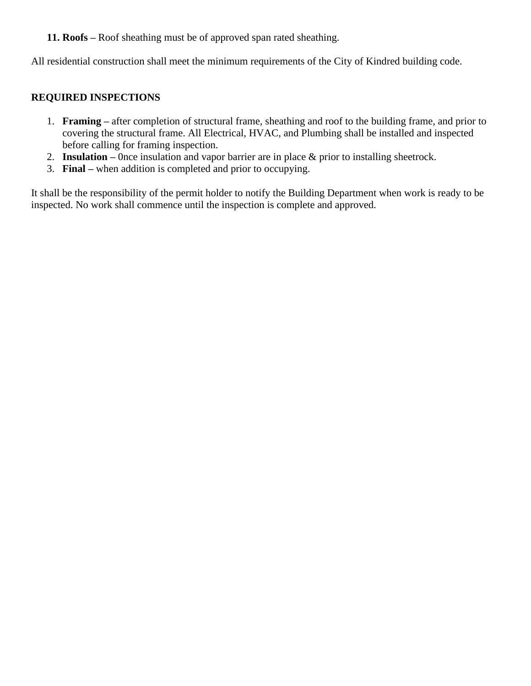#### **11. Roofs –** Roof sheathing must be of approved span rated sheathing.

All residential construction shall meet the minimum requirements of the City of Kindred building code.

#### **REQUIRED INSPECTIONS**

- 1. **Framing –** after completion of structural frame, sheathing and roof to the building frame, and prior to covering the structural frame. All Electrical, HVAC, and Plumbing shall be installed and inspected before calling for framing inspection.
- 2. **Insulation –** 0nce insulation and vapor barrier are in place & prior to installing sheetrock.
- 3. **Final –** when addition is completed and prior to occupying.

It shall be the responsibility of the permit holder to notify the Building Department when work is ready to be inspected. No work shall commence until the inspection is complete and approved.